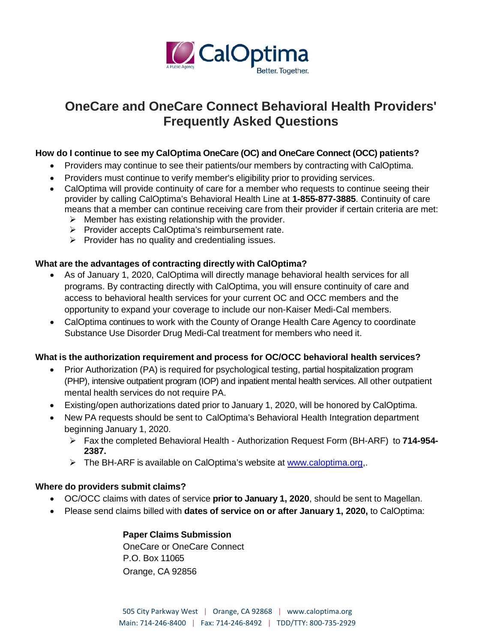

# **OneCare and OneCare Connect Behavioral Health Providers' Frequently Asked Questions**

#### **How do I continue to see my CalOptima OneCare (OC) and OneCare Connect (OCC) patients?**

- Providers may continue to see their patients/our members by contracting with CalOptima.
- Providers must continue to verify member's eligibility prior to providing services.
- CalOptima will provide continuity of care for a member who requests to continue seeing their provider by calling CalOptima's Behavioral Health Line at **1-855-877-3885**. Continuity of care means that a member can continue receiving care from their provider if certain criteria are met:
	- $\triangleright$  Member has existing relationship with the provider.
	- $\triangleright$  Provider accepts CalOptima's reimbursement rate.
	- $\triangleright$  Provider has no quality and credentialing issues.

#### **What are the advantages of contracting directly with CalOptima?**

- As of January 1, 2020, CalOptima will directly manage behavioral health services for all programs. By contracting directly with CalOptima, you will ensure continuity of care and access to behavioral health services for your current OC and OCC members and the opportunity to expand your coverage to include our non-Kaiser Medi-Cal members.
- CalOptima continues to work with the County of Orange Health Care Agency to coordinate Substance Use Disorder Drug Medi-Cal treatment for members who need it.

#### **What is the authorization requirement and process for OC/OCC behavioral health services?**

- Prior Authorization (PA) is required for psychological testing, partial hospitalization program (PHP), intensive outpatient program (IOP) and inpatient mental health services. All other outpatient mental health services do not require PA.
- Existing/open authorizations dated prior to January 1, 2020, will be honored by CalOptima.
- New PA requests should be sent to CalOptima's Behavioral Health Integration department beginning January 1, 2020.
	- Fax the completed Behavioral Health Authorization Request Form (BH-ARF) to **714-954- 2387.**
	- $\triangleright$  The BH-ARF is available on CalOptima's website at www.caloptima.org,

#### **Where do providers submit claims?**

- OC/OCC claims with dates of service **prior to January 1, 2020**, should be sent to Magellan.
- Please send claims billed with **dates of service on or after January 1, 2020,** to CalOptima:

#### **Paper Claims Submission**

OneCare or OneCare Connect P.O. Box 11065 Orange, CA 92856